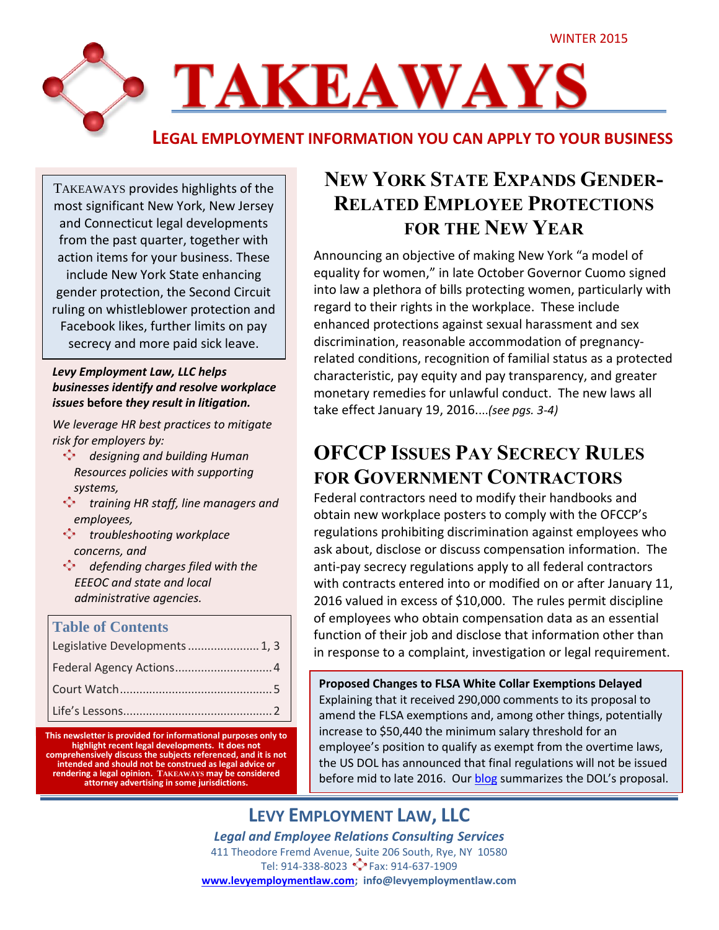

TAKEAWAYS provides highlights of the most significant New York, New Jersey and Connecticut legal developments from the past quarter, together with action items for your business. These include New York State enhancing gender protection, the Second Circuit ruling on whistleblower protection and Facebook likes, further limits on pay secrecy and more paid sick leave.

#### *Levy Employment Law, LLC helps businesses identify and resolve workplace issues* **before** *they result in litigation.*

*We leverage HR best practices to mitigate risk for employers by:*

- *designing and building Human Resources policies with supporting systems,*
- **training HR staff, line managers and** *employees,*
- *troubleshooting workplace concerns, and*
- *defending charges filed with the EEEOC and state and local administrative agencies.*

#### **Table of Contents**

| Legislative Developments  1, 3 |
|--------------------------------|
|                                |
|                                |
|                                |

**This newsletter is provided for informational purposes only to highlight recent legal developments. It does not comprehensively discuss the subjects referenced, and it is not intended and should not be construed as legal advice or rendering a legal opinion. TAKEAWAYS may be considered attorney advertising in some jurisdictions.**

# **NEW YORK STATE EXPANDS GENDER-RELATED EMPLOYEE PROTECTIONS FOR THE NEW YEAR**

Announcing an objective of making New York "a model of equality for women," in late October Governor Cuomo signed into law a plethora of bills protecting women, particularly with regard to their rights in the workplace. These include enhanced protections against sexual harassment and sex discrimination, reasonable accommodation of pregnancyrelated conditions, recognition of familial status as a protected characteristic, pay equity and pay transparency, and greater monetary remedies for unlawful conduct. The new laws all take effect January 19, 2016....*(see pgs. 3-4)*

# **OFCCP ISSUES PAY SECRECY RULES FOR GOVERNMENT CONTRACTORS**

Federal contractors need to modify their handbooks and obtain new workplace posters to comply with the OFCCP's regulations prohibiting discrimination against employees who ask about, disclose or discuss compensation information. The anti-pay secrecy regulations apply to all federal contractors with contracts entered into or modified on or after January 11, 2016 valued in excess of \$10,000. The rules permit discipline of employees who obtain compensation data as an essential function of their job and disclose that information other than in response to a complaint, investigation or legal requirement.

**Proposed Changes to FLSA White Collar Exemptions Delayed** Explaining that it received 290,000 comments to its proposal to amend the FLSA exemptions and, among other things, potentially increase to \$50,440 the minimum salary threshold for an employee's position to qualify as exempt from the overtime laws, the US DOL has announced that final regulations will not be issued before mid to late 2016. Our [blog](http://www.levyemploymentlaw.com/blog/?p=81) summarizes the DOL's proposal.

## **LEVY EMPLOYMENT LAW, LLC**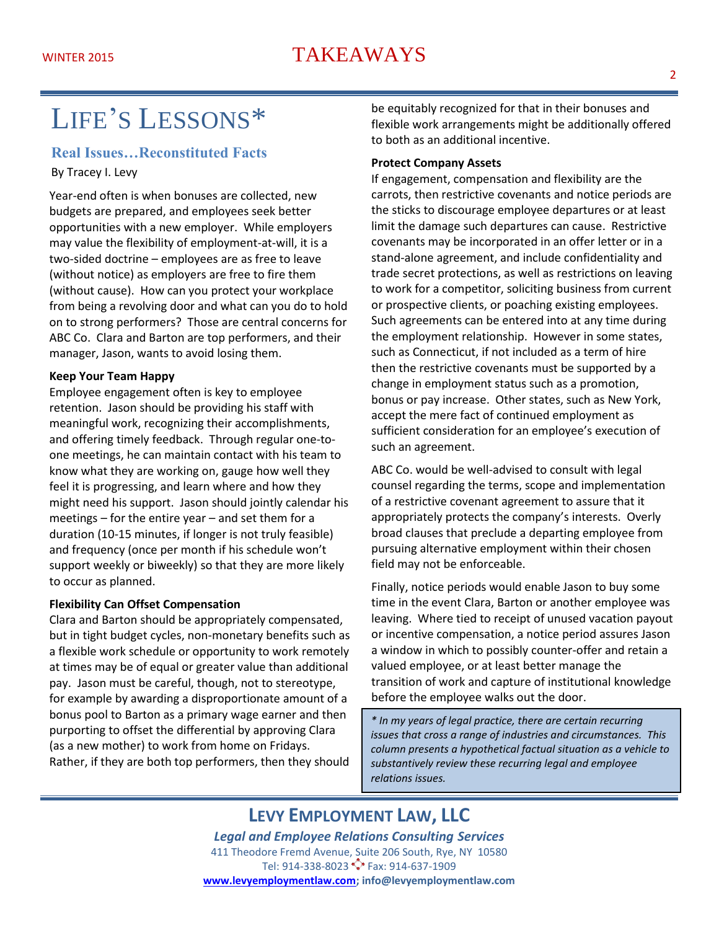# WINTER 2015 TAKEAWAYS

# LIFE'S LESSONS\*

#### **Real Issues…Reconstituted Facts**

By Tracey I. Levy

Year-end often is when bonuses are collected, new budgets are prepared, and employees seek better opportunities with a new employer. While employers may value the flexibility of employment-at-will, it is a two-sided doctrine – employees are as free to leave (without notice) as employers are free to fire them (without cause). How can you protect your workplace from being a revolving door and what can you do to hold on to strong performers? Those are central concerns for ABC Co. Clara and Barton are top performers, and their manager, Jason, wants to avoid losing them.

#### **Keep Your Team Happy**

Employee engagement often is key to employee retention. Jason should be providing his staff with meaningful work, recognizing their accomplishments, and offering timely feedback. Through regular one-toone meetings, he can maintain contact with his team to know what they are working on, gauge how well they feel it is progressing, and learn where and how they might need his support. Jason should jointly calendar his meetings – for the entire year – and set them for a duration (10-15 minutes, if longer is not truly feasible) and frequency (once per month if his schedule won't support weekly or biweekly) so that they are more likely to occur as planned.

#### **Flexibility Can Offset Compensation**

Clara and Barton should be appropriately compensated, but in tight budget cycles, non-monetary benefits such as a flexible work schedule or opportunity to work remotely at times may be of equal or greater value than additional pay. Jason must be careful, though, not to stereotype, for example by awarding a disproportionate amount of a bonus pool to Barton as a primary wage earner and then purporting to offset the differential by approving Clara (as a new mother) to work from home on Fridays. Rather, if they are both top performers, then they should be equitably recognized for that in their bonuses and flexible work arrangements might be additionally offered to both as an additional incentive.

#### **Protect Company Assets**

If engagement, compensation and flexibility are the carrots, then restrictive covenants and notice periods are the sticks to discourage employee departures or at least limit the damage such departures can cause. Restrictive covenants may be incorporated in an offer letter or in a stand-alone agreement, and include confidentiality and trade secret protections, as well as restrictions on leaving to work for a competitor, soliciting business from current or prospective clients, or poaching existing employees. Such agreements can be entered into at any time during the employment relationship. However in some states, such as Connecticut, if not included as a term of hire then the restrictive covenants must be supported by a change in employment status such as a promotion, bonus or pay increase. Other states, such as New York, accept the mere fact of continued employment as sufficient consideration for an employee's execution of such an agreement.

ABC Co. would be well-advised to consult with legal counsel regarding the terms, scope and implementation of a restrictive covenant agreement to assure that it appropriately protects the company's interests. Overly broad clauses that preclude a departing employee from pursuing alternative employment within their chosen field may not be enforceable.

Finally, notice periods would enable Jason to buy some time in the event Clara, Barton or another employee was leaving. Where tied to receipt of unused vacation payout or incentive compensation, a notice period assures Jason a window in which to possibly counter-offer and retain a valued employee, or at least better manage the transition of work and capture of institutional knowledge before the employee walks out the door.

*\* In my years of legal practice, there are certain recurring issues that cross a range of industries and circumstances. This column presents a hypothetical factual situation as a vehicle to substantively review these recurring legal and employee relations issues.*

### **LEVY EMPLOYMENT LAW, LLC**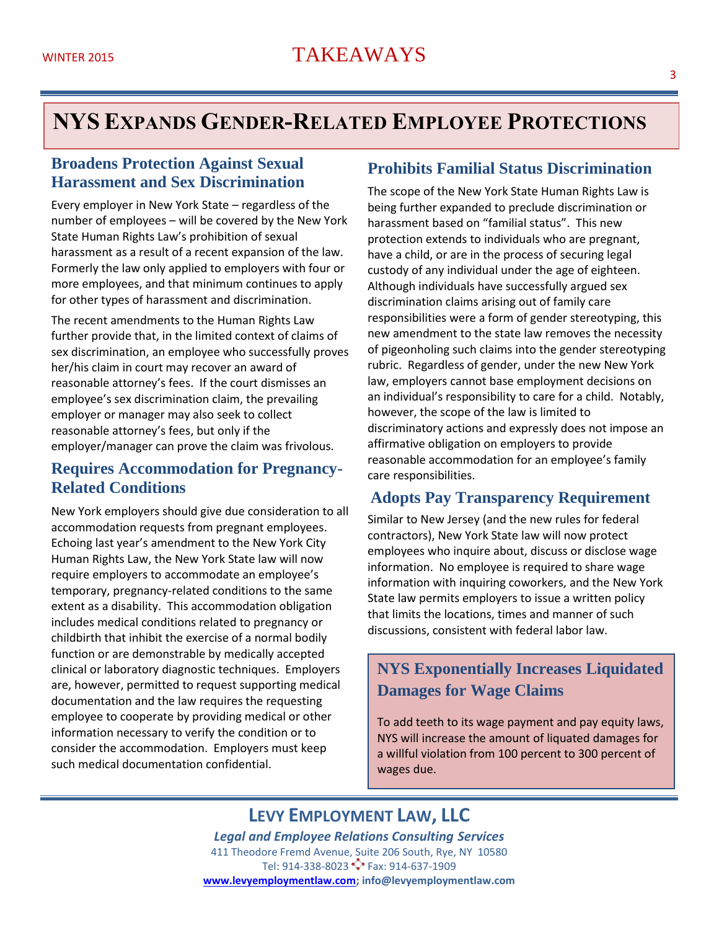# **NYS EXPANDS GENDER-RELATED EMPLOYEE PROTECTIONS**

#### **Broadens Protection Against Sexual Harassment and Sex Discrimination**

Every employer in New York State – regardless of the number of employees – will be covered by the New York State Human Rights Law's prohibition of sexual harassment as a result of a recent expansion of the law. Formerly the law only applied to employers with four or more employees, and that minimum continues to apply for other types of harassment and discrimination.

The recent amendments to the Human Rights Law further provide that, in the limited context of claims of sex discrimination, an employee who successfully proves her/his claim in court may recover an award of reasonable attorney's fees. If the court dismisses an employee's sex discrimination claim, the prevailing employer or manager may also seek to collect reasonable attorney's fees, but only if the employer/manager can prove the claim was frivolous.

#### **Requires Accommodation for Pregnancy-Related Conditions**

New York employers should give due consideration to all accommodation requests from pregnant employees. Echoing last year's amendment to the New York City Human Rights Law, the New York State law will now require employers to accommodate an employee's temporary, pregnancy-related conditions to the same extent as a disability. This accommodation obligation includes medical conditions related to pregnancy or childbirth that inhibit the exercise of a normal bodily function or are demonstrable by medically accepted clinical or laboratory diagnostic techniques. Employers are, however, permitted to request supporting medical documentation and the law requires the requesting employee to cooperate by providing medical or other information necessary to verify the condition or to consider the accommodation. Employers must keep such medical documentation confidential.

#### **Prohibits Familial Status Discrimination**

The scope of the New York State Human Rights Law is being further expanded to preclude discrimination or harassment based on "familial status". This new protection extends to individuals who are pregnant, have a child, or are in the process of securing legal custody of any individual under the age of eighteen. Although individuals have successfully argued sex discrimination claims arising out of family care responsibilities were a form of gender stereotyping, this new amendment to the state law removes the necessity of pigeonholing such claims into the gender stereotyping rubric. Regardless of gender, under the new New York law, employers cannot base employment decisions on an individual's responsibility to care for a child. Notably, however, the scope of the law is limited to discriminatory actions and expressly does not impose an affirmative obligation on employers to provide reasonable accommodation for an employee's family care responsibilities.

#### **Adopts Pay Transparency Requirement**

Similar to New Jersey (and the new rules for federal contractors), New York State law will now protect employees who inquire about, discuss or disclose wage information. No employee is required to share wage information with inquiring coworkers, and the New York State law permits employers to issue a written policy that limits the locations, times and manner of such discussions, consistent with federal labor law.

### **NYS Exponentially Increases Liquidated Damages for Wage Claims**

To add teeth to its wage payment and pay equity laws, NYS will increase the amount of liquated damages for a willful violation from 100 percent to 300 percent of wages due.

## **LEVY EMPLOYMENT LAW, LLC**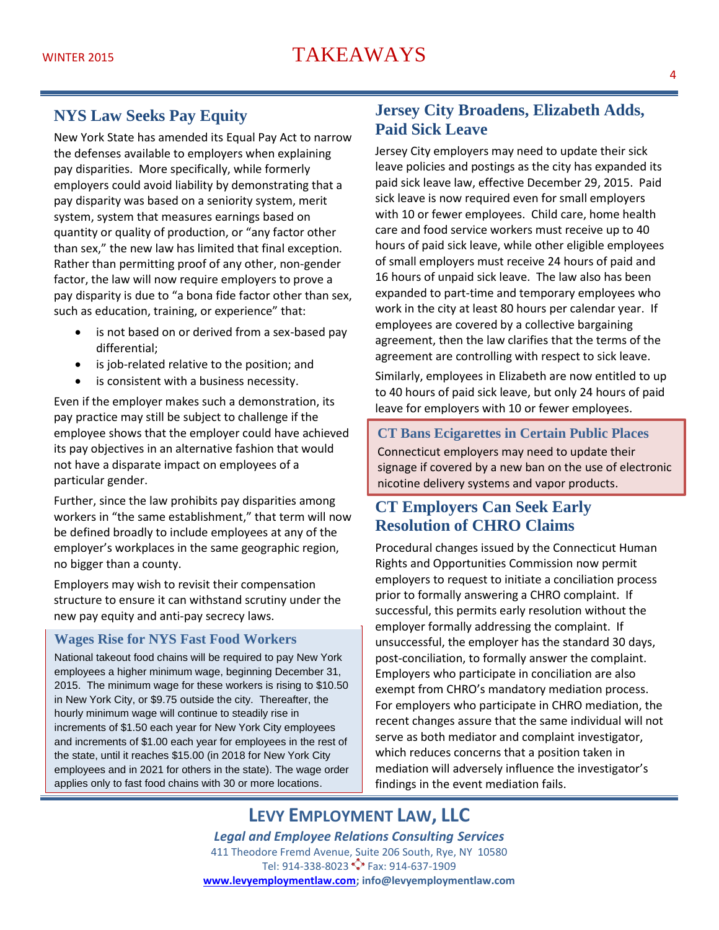#### **NYS Law Seeks Pay Equity**

New York State has amended its Equal Pay Act to narrow the defenses available to employers when explaining pay disparities. More specifically, while formerly employers could avoid liability by demonstrating that a pay disparity was based on a seniority system, merit system, system that measures earnings based on quantity or quality of production, or "any factor other than sex," the new law has limited that final exception. Rather than permitting proof of any other, non-gender factor, the law will now require employers to prove a pay disparity is due to "a bona fide factor other than sex, such as education, training, or experience" that:

- is not based on or derived from a sex-based pay differential;
- is job-related relative to the position; and
- is consistent with a business necessity.

Even if the employer makes such a demonstration, its pay practice may still be subject to challenge if the employee shows that the employer could have achieved its pay objectives in an alternative fashion that would not have a disparate impact on employees of a particular gender.

Further, since the law prohibits pay disparities among workers in "the same establishment," that term will now be defined broadly to include employees at any of the employer's workplaces in the same geographic region, no bigger than a county.

Employers may wish to revisit their compensation structure to ensure it can withstand scrutiny under the new pay equity and anti-pay secrecy laws.

#### **Wages Rise for NYS Fast Food Workers**

nationally.<br>Nati

National takeout food chains will be required to pay New York employees a higher minimum wage, beginning December 31, 2015. The minimum wage for these workers is rising to \$10.50 in New York City, or \$9.75 outside the city. Thereafter, the hourly minimum wage will continue to steadily rise in increments of \$1.50 each year for New York City employees and increments of \$1.00 each year for employees in the rest of the state, until it reaches \$15.00 (in 2018 for New York City employees and in 2021 for others in the state). The wage order applies only to fast food chains with 30 or more locations.

#### **Jersey City Broadens, Elizabeth Adds, Paid Sick Leave**

Jersey City employers may need to update their sick leave policies and postings as the city has expanded its paid sick leave law, effective December 29, 2015. Paid sick leave is now required even for small employers with 10 or fewer employees. Child care, home health care and food service workers must receive up to 40 hours of paid sick leave, while other eligible employees of small employers must receive 24 hours of paid and 16 hours of unpaid sick leave. The law also has been expanded to part-time and temporary employees who work in the city at least 80 hours per calendar year. If employees are covered by a collective bargaining agreement, then the law clarifies that the terms of the agreement are controlling with respect to sick leave.

Similarly, employees in Elizabeth are now entitled to up to 40 hours of paid sick leave, but only 24 hours of paid leave for employers with 10 or fewer employees.

**CT Bans Ecigarettes in Certain Public Places** Connecticut employers may need to update their signage if covered by a new ban on the use of electronic nicotine delivery systems and vapor products.

## **CT Employers Can Seek Early. Resolution of CHRO Claims**

Procedural changes issued by the Connecticut Human Rights and Opportunities Commission now permit employers to request to initiate a conciliation process prior to formally answering a CHRO complaint. If successful, this permits early resolution without the employer formally addressing the complaint. If unsuccessful, the employer has the standard 30 days, post-conciliation, to formally answer the complaint. Employers who participate in conciliation are also exempt from CHRO's mandatory mediation process. For employers who participate in CHRO mediation, the recent changes assure that the same individual will not serve as both mediator and complaint investigator, which reduces concerns that a position taken in mediation will adversely influence the investigator's findings in the event mediation fails.

## **LEVY EMPLOYMENT LAW, LLC**